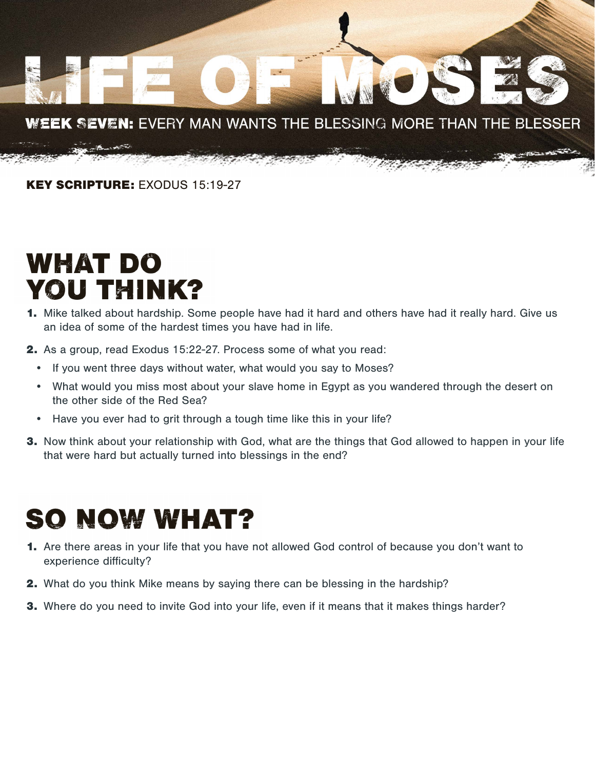

KEY SCRIPTURE: EXODUS 15:19-27

## **WHAT DO YOU THINK?**

- 1. Mike talked about hardship. Some people have had it hard and others have had it really hard. Give us an idea of some of the hardest times you have had in life.
- 2. As a group, read Exodus 15:22-27. Process some of what you read:
	- If you went three days without water, what would you say to Moses?
	- What would you miss most about your slave home in Egypt as you wandered through the desert on the other side of the Red Sea?
	- Have you ever had to grit through a tough time like this in your life?
- **3.** Now think about your relationship with God, what are the things that God allowed to happen in your life that were hard but actually turned into blessings in the end?

## **SO NOW WHAT?**

- 1. Are there areas in your life that you have not allowed God control of because you don't want to experience difficulty?
- 2. What do you think Mike means by saying there can be blessing in the hardship?
- **3.** Where do you need to invite God into your life, even if it means that it makes things harder?